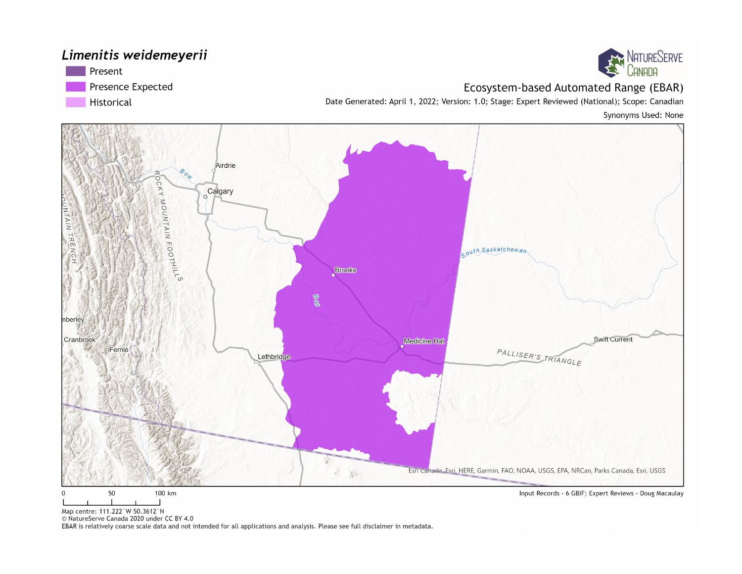#### Limenitis weidemeyerii





#### Ecosystem-based Automated Range (EBAR)

Date Generated: April 1, 2022; Version: 1.0; Stage: Expert Reviewed (National); Scope: Canadian

Synonyms Used: None



Map centre: 111.222°W 50.3612°N

© NatureServe Canada 2020 under CC BY 4.0

EBAR is relatively coarse scale data and not intended for all applications and analysis. Please see full disclaimer in metadata.

Input Records - 6 GBIF; Expert Reviews - Doug Macaulay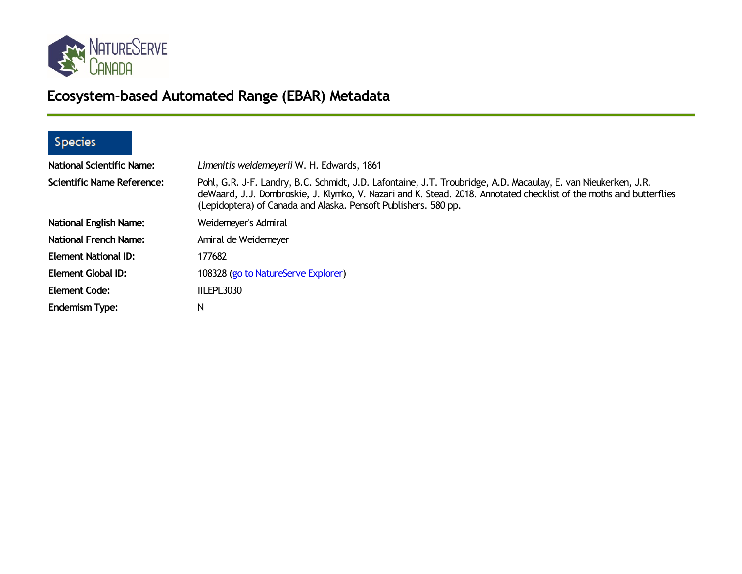

# **Ecosystem-based Automated Range (EBAR) Metadata**

### Species

| <b>National Scientific Name:</b>  | Limenitis weidemeyerii W. H. Edwards, 1861                                                                                                                                                                                                                                                               |
|-----------------------------------|----------------------------------------------------------------------------------------------------------------------------------------------------------------------------------------------------------------------------------------------------------------------------------------------------------|
| <b>Scientific Name Reference:</b> | Pohl, G.R. J-F. Landry, B.C. Schmidt, J.D. Lafontaine, J.T. Troubridge, A.D. Macaulay, E. van Nieukerken, J.R.<br>deWaard, J.J. Dombroskie, J. Klymko, V. Nazari and K. Stead. 2018. Annotated checklist of the moths and butterflies<br>(Lepidoptera) of Canada and Alaska. Pensoft Publishers. 580 pp. |
| <b>National English Name:</b>     | Weidemeyer's Admiral                                                                                                                                                                                                                                                                                     |
| <b>National French Name:</b>      | Amiral de Weidemeyer                                                                                                                                                                                                                                                                                     |
| <b>Element National ID:</b>       | 177682                                                                                                                                                                                                                                                                                                   |
| Element Global ID:                | 108328 (go to NatureServe Explorer)                                                                                                                                                                                                                                                                      |
| <b>Element Code:</b>              | IILEPL3030                                                                                                                                                                                                                                                                                               |
| <b>Endemism Type:</b>             | N                                                                                                                                                                                                                                                                                                        |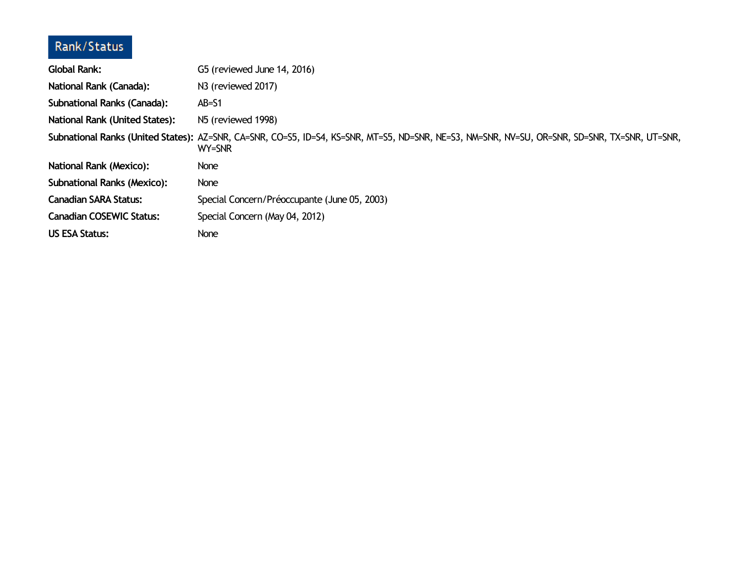### Rank/Status

| <b>Global Rank:</b>                   | G5 (reviewed June 14, 2016)                                                                                                                             |
|---------------------------------------|---------------------------------------------------------------------------------------------------------------------------------------------------------|
| National Rank (Canada):               | N3 (reviewed 2017)                                                                                                                                      |
| <b>Subnational Ranks (Canada):</b>    | $AB = S1$                                                                                                                                               |
| <b>National Rank (United States):</b> | N <sub>5</sub> (reviewed 1998)                                                                                                                          |
|                                       | Subnational Ranks (United States): AZ=SNR, CA=SNR, CO=S5, ID=S4, KS=SNR, MT=S5, ND=SNR, NE=S3, NM=SNR, NV=SU, OR=SNR, SD=SNR, TX=SNR, UT=SNR,<br>WY=SNR |
| <b>National Rank (Mexico):</b>        | None                                                                                                                                                    |
| <b>Subnational Ranks (Mexico):</b>    | None                                                                                                                                                    |
| <b>Canadian SARA Status:</b>          | Special Concern/Préoccupante (June 05, 2003)                                                                                                            |
| <b>Canadian COSEWIC Status:</b>       | Special Concern (May 04, 2012)                                                                                                                          |
| <b>US ESA Status:</b>                 | None                                                                                                                                                    |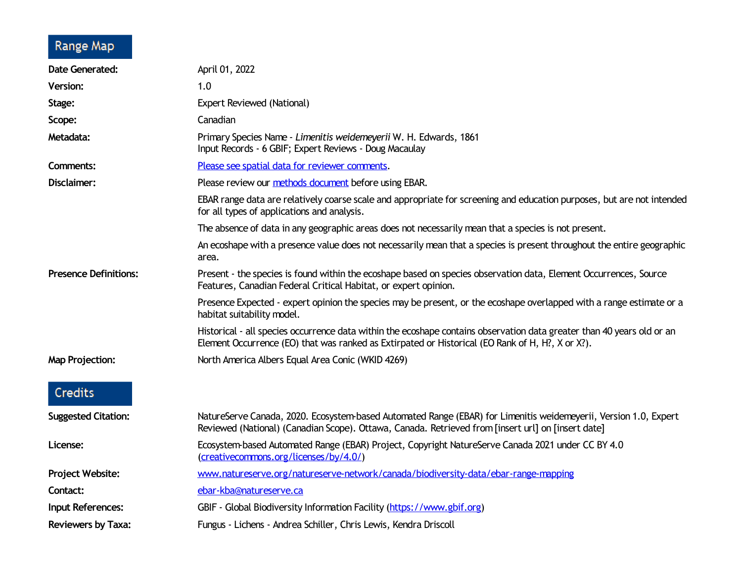## Range Map

| <b>Date Generated:</b>       | April 01, 2022                                                                                                                                                                                                             |
|------------------------------|----------------------------------------------------------------------------------------------------------------------------------------------------------------------------------------------------------------------------|
| <b>Version:</b>              | 1.0                                                                                                                                                                                                                        |
| Stage:                       | Expert Reviewed (National)                                                                                                                                                                                                 |
| Scope:                       | Canadian                                                                                                                                                                                                                   |
| Metadata:                    | Primary Species Name - Limenitis weidemeyerii W. H. Edwards, 1861<br>Input Records - 6 GBIF; Expert Reviews - Doug Macaulay                                                                                                |
| Comments:                    | Please see spatial data for reviewer comments.                                                                                                                                                                             |
| Disclaimer:                  | Please review our methods document before using EBAR.                                                                                                                                                                      |
|                              | EBAR range data are relatively coarse scale and appropriate for screening and education purposes, but are not intended<br>for all types of applications and analysis.                                                      |
|                              | The absence of data in any geographic areas does not necessarily mean that a species is not present.                                                                                                                       |
|                              | An ecoshape with a presence value does not necessarily mean that a species is present throughout the entire geographic<br>area.                                                                                            |
| <b>Presence Definitions:</b> | Present - the species is found within the ecoshape based on species observation data, Element Occurrences, Source<br>Features, Canadian Federal Critical Habitat, or expert opinion.                                       |
|                              | Presence Expected - expert opinion the species may be present, or the ecoshape overlapped with a range estimate or a<br>habitat suitability model.                                                                         |
|                              | Historical - all species occurrence data within the ecoshape contains observation data greater than 40 years old or an<br>Element Occurrence (EO) that was ranked as Extirpated or Historical (EO Rank of H, H?, X or X?). |
| <b>Map Projection:</b>       | North America Albers Equal Area Conic (WKID 4269)                                                                                                                                                                          |
| Credits                      |                                                                                                                                                                                                                            |
| <b>Suggested Citation:</b>   | NatureServe Canada, 2020. Ecosystem-based Automated Range (EBAR) for Limenitis weidemeyerii, Version 1.0, Expert<br>Reviewed (National) (Canadian Scope). Ottawa, Canada. Retrieved from [insert url] on [insert date]     |
| License:                     | Ecosystem-based Automated Range (EBAR) Project, Copyright NatureServe Canada 2021 under CC BY 4.0<br>(creativecommons.org/licenses/by/4.0/)                                                                                |
| Project Website:             | www.natureserve.org/natureserve-network/canada/biodiversity-data/ebar-range-mapping                                                                                                                                        |
| Contact:                     | ebar-kba@natureserve.ca                                                                                                                                                                                                    |
| <b>Input References:</b>     | GBIF - Global Biodiversity Information Facility (https://www.gbif.org)                                                                                                                                                     |
| <b>Reviewers by Taxa:</b>    | Fungus - Lichens - Andrea Schiller, Chris Lewis, Kendra Driscoll                                                                                                                                                           |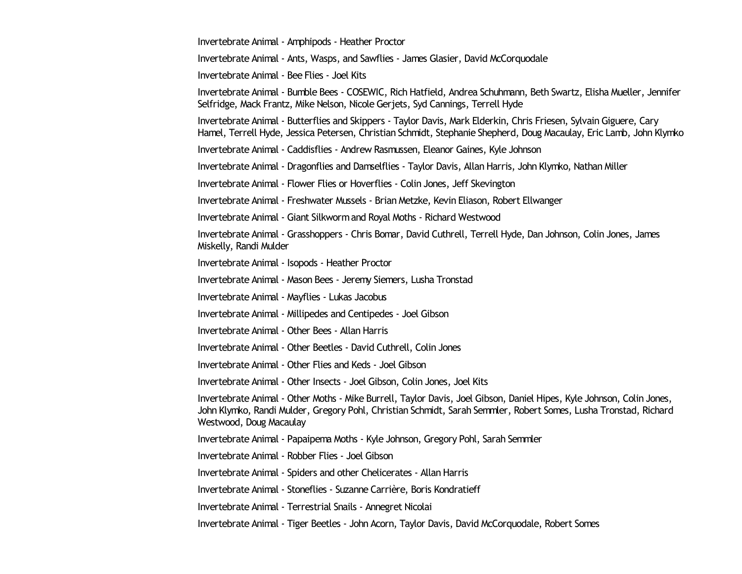Invertebrate Animal - Amphipods - Heather Proctor

Invertebrate Animal - Ants, Wasps, and Sawflies - James Glasier, David McCorquodale

Invertebrate Animal - Bee Flies - Joel Kits

Invertebrate Animal - Bumble Bees - COSEWIC, Rich Hatfield, Andrea Schuhmann, Beth Swartz, Elisha Mueller, Jennifer Selfridge, Mack Frantz, Mike Nelson, Nicole Gerjets, Syd Cannings, Terrell Hyde

Invertebrate Animal - Butterflies and Skippers - Taylor Davis, Mark Elderkin, Chris Friesen, Sylvain Giguere, Cary Hamel, Terrell Hyde, Jessica Petersen, Christian Schmidt, Stephanie Shepherd, Doug Macaulay, Eric Lamb, John Klymko

Invertebrate Animal - Caddisflies - Andrew Rasmussen, Eleanor Gaines, Kyle Johnson

Invertebrate Animal - Dragonflies and Damselflies - Taylor Davis, Allan Harris, John Klymko, Nathan Miller

Invertebrate Animal - Flower Flies or Hoverflies - Colin Jones, Jeff Skevington

Invertebrate Animal - Freshwater Mussels - Brian Metzke, Kevin Eliason, Robert Ellwanger

Invertebrate Animal - Giant Silkwormand Royal Moths - Richard Westwood

Invertebrate Animal - Grasshoppers - Chris Bomar, David Cuthrell, Terrell Hyde, Dan Johnson, Colin Jones, James Miskelly, Randi Mulder

Invertebrate Animal - Isopods - Heather Proctor

Invertebrate Animal - Mason Bees - Jeremy Siemers, Lusha Tronstad

Invertebrate Animal - Mayflies - Lukas Jacobus

Invertebrate Animal - Millipedes and Centipedes - Joel Gibson

Invertebrate Animal - Other Bees - Allan Harris

Invertebrate Animal - Other Beetles - David Cuthrell, Colin Jones

Invertebrate Animal - Other Flies and Keds - Joel Gibson

Invertebrate Animal - Other Insects - Joel Gibson, Colin Jones, Joel Kits

Invertebrate Animal - Other Moths - Mike Burrell, Taylor Davis, Joel Gibson, Daniel Hipes, Kyle Johnson, Colin Jones, John Klymko, Randi Mulder, Gregory Pohl, Christian Schmidt, Sarah Semmler, Robert Somes, Lusha Tronstad, Richard Westwood, Doug Macaulay

Invertebrate Animal - Papaipema Moths - Kyle Johnson, Gregory Pohl, Sarah Semmler

Invertebrate Animal - Robber Flies - Joel Gibson

Invertebrate Animal - Spiders and other Chelicerates - Allan Harris

Invertebrate Animal - Stoneflies - Suzanne Carrière, Boris Kondratieff

Invertebrate Animal - Terrestrial Snails - Annegret Nicolai

Invertebrate Animal - Tiger Beetles - John Acorn, Taylor Davis, David McCorquodale, Robert Somes